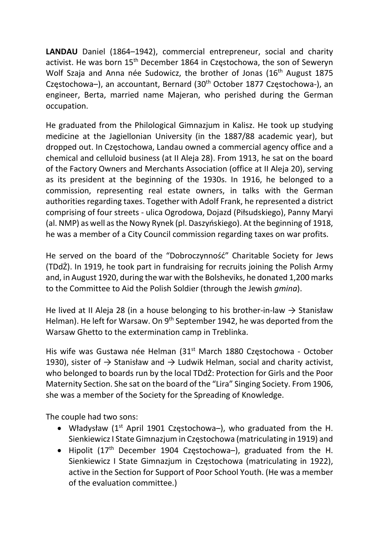LANDAU Daniel (1864–1942), commercial entrepreneur, social and charity activist. He was born 15<sup>th</sup> December 1864 in Częstochowa, the son of Seweryn Wolf Szaja and Anna née Sudowicz, the brother of Jonas (16<sup>th</sup> August 1875 Częstochowa-), an accountant, Bernard (30<sup>th</sup> October 1877 Częstochowa-), an engineer, Berta, married name Majeran, who perished during the German occupation.

He graduated from the Philological Gimnazjum in Kalisz. He took up studying medicine at the Jagiellonian University (in the 1887/88 academic year), but dropped out. In Częstochowa, Landau owned a commercial agency office and a chemical and celluloid business (at II Aleja 28). From 1913, he sat on the board of the Factory Owners and Merchants Association (office at II Aleja 20), serving as its president at the beginning of the 1930s. In 1916, he belonged to a commission, representing real estate owners, in talks with the German authorities regarding taxes. Together with Adolf Frank, he represented a district comprising of four streets - ulica Ogrodowa, Dojazd (Piłsudskiego), Panny Maryi (al. NMP) as well as the Nowy Rynek (pl. Daszyńskiego). At the beginning of 1918, he was a member of a City Council commission regarding taxes on war profits.

He served on the board of the "Dobroczynność" Charitable Society for Jews (TDdŻ). In 1919, he took part in fundraising for recruits joining the Polish Army and, in August 1920, during the war with the Bolsheviks, he donated 1,200 marks to the Committee to Aid the Polish Soldier (through the Jewish gmina).

He lived at II Aleja 28 (in a house belonging to his brother-in-law  $\rightarrow$  Stanisław Helman). He left for Warsaw. On 9<sup>th</sup> September 1942, he was deported from the Warsaw Ghetto to the extermination camp in Treblinka.

His wife was Gustawa née Helman (31<sup>st</sup> March 1880 Częstochowa - October 1930), sister of  $\rightarrow$  Stanisław and  $\rightarrow$  Ludwik Helman, social and charity activist, who belonged to boards run by the local TDdŻ: Protection for Girls and the Poor Maternity Section. She sat on the board of the "Lira" Singing Society. From 1906, she was a member of the Society for the Spreading of Knowledge.

The couple had two sons:

- Władysław ( $1<sup>st</sup>$  April 1901 Czestochowa–), who graduated from the H. Sienkiewicz I State Gimnazjum in Częstochowa (matriculating in 1919) and
- Hipolit (17<sup>th</sup> December 1904 Częstochowa-), graduated from the H. Sienkiewicz I State Gimnazjum in Częstochowa (matriculating in 1922), active in the Section for Support of Poor School Youth. (He was a member of the evaluation committee.)